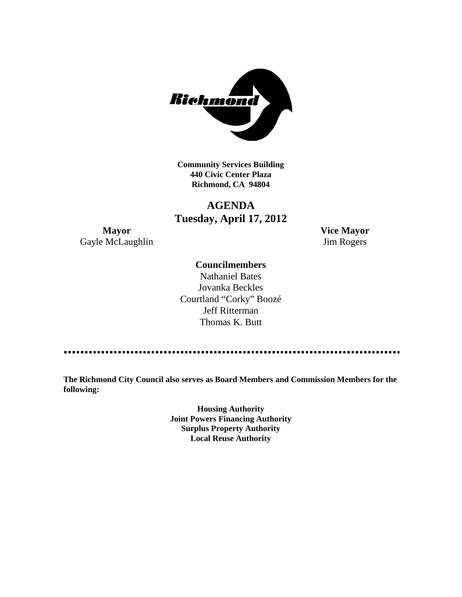

**Community Services Building 440 Civic Center Plaza Richmond, CA 94804**

# **AGENDA Tuesday, April 17, 2012**

**Mayor Vice Mayor** Gayle McLaughlin Jim Rogers

### **Councilmembers**

Nathaniel Bates Jovanka Beckles Courtland "Corky" Boozé Jeff Ritterman Thomas K. Butt

**The Richmond City Council also serves as Board Members and Commission Members for the following:**

> **Housing Authority Joint Powers Financing Authority Surplus Property Authority Local Reuse Authority**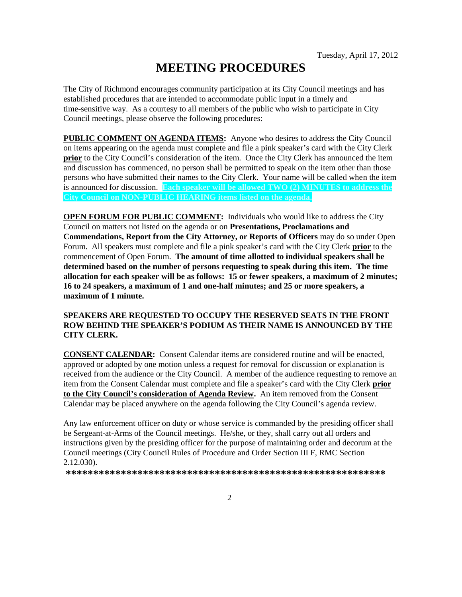# **MEETING PROCEDURES**

The City of Richmond encourages community participation at its City Council meetings and has established procedures that are intended to accommodate public input in a timely and time-sensitive way. As a courtesy to all members of the public who wish to participate in City Council meetings, please observe the following procedures:

**PUBLIC COMMENT ON AGENDA ITEMS:** Anyone who desires to address the City Council on items appearing on the agenda must complete and file a pink speaker's card with the City Clerk **prior** to the City Council's consideration of the item. Once the City Clerk has announced the item and discussion has commenced, no person shall be permitted to speak on the item other than those persons who have submitted their names to the City Clerk. Your name will be called when the item is announced for discussion. **Each speaker will be allowed TWO (2) MINUTES to address the City Council on NON-PUBLIC HEARING items listed on the agenda.**

**OPEN FORUM FOR PUBLIC COMMENT:** Individuals who would like to address the City Council on matters not listed on the agenda or on **Presentations, Proclamations and Commendations, Report from the City Attorney, or Reports of Officers** may do so under Open Forum. All speakers must complete and file a pink speaker's card with the City Clerk **prior** to the commencement of Open Forum. **The amount of time allotted to individual speakers shall be determined based on the number of persons requesting to speak during this item. The time allocation for each speaker will be as follows: 15 or fewer speakers, a maximum of 2 minutes; 16 to 24 speakers, a maximum of 1 and one-half minutes; and 25 or more speakers, a maximum of 1 minute.**

#### **SPEAKERS ARE REQUESTED TO OCCUPY THE RESERVED SEATS IN THE FRONT ROW BEHIND THE SPEAKER'S PODIUM AS THEIR NAME IS ANNOUNCED BY THE CITY CLERK.**

**CONSENT CALENDAR:** Consent Calendar items are considered routine and will be enacted, approved or adopted by one motion unless a request for removal for discussion or explanation is received from the audience or the City Council. A member of the audience requesting to remove an item from the Consent Calendar must complete and file a speaker's card with the City Clerk **prior to the City Council's consideration of Agenda Review.** An item removed from the Consent Calendar may be placed anywhere on the agenda following the City Council's agenda review.

Any law enforcement officer on duty or whose service is commanded by the presiding officer shall be Sergeant-at-Arms of the Council meetings. He/she, or they, shall carry out all orders and instructions given by the presiding officer for the purpose of maintaining order and decorum at the Council meetings (City Council Rules of Procedure and Order Section III F, RMC Section 2.12.030).

**\*\*\*\*\*\*\*\*\*\*\*\*\*\*\*\*\*\*\*\*\*\*\*\*\*\*\*\*\*\*\*\*\*\*\*\*\*\*\*\*\*\*\*\*\*\*\*\*\*\*\*\*\*\*\*\*\*\***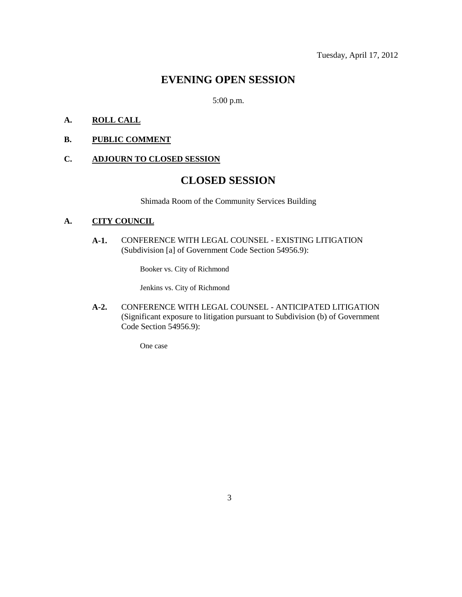## **EVENING OPEN SESSION**

5:00 p.m.

### **A. ROLL CALL**

#### **B. PUBLIC COMMENT**

#### **C. ADJOURN TO CLOSED SESSION**

# **CLOSED SESSION**

Shimada Room of the Community Services Building

#### **A. CITY COUNCIL**

**A-1.** CONFERENCE WITH LEGAL COUNSEL - EXISTING LITIGATION (Subdivision [a] of Government Code Section 54956.9):

Booker vs. City of Richmond

Jenkins vs. City of Richmond

**A-2.** CONFERENCE WITH LEGAL COUNSEL - ANTICIPATED LITIGATION (Significant exposure to litigation pursuant to Subdivision (b) of Government Code Section 54956.9):

One case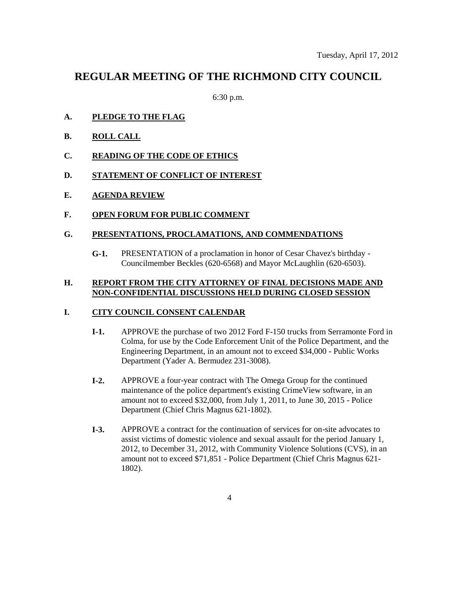## **REGULAR MEETING OF THE RICHMOND CITY COUNCIL**

6:30 p.m.

- **A. PLEDGE TO THE FLAG**
- **B. ROLL CALL**
- **C. READING OF THE CODE OF ETHICS**
- **D. STATEMENT OF CONFLICT OF INTEREST**
- **E. AGENDA REVIEW**
- **F. OPEN FORUM FOR PUBLIC COMMENT**

#### **G. PRESENTATIONS, PROCLAMATIONS, AND COMMENDATIONS**

**G-1.** PRESENTATION of a proclamation in honor of Cesar Chavez's birthday - Councilmember Beckles (620-6568) and Mayor McLaughlin (620-6503).

#### **H. REPORT FROM THE CITY ATTORNEY OF FINAL DECISIONS MADE AND NON-CONFIDENTIAL DISCUSSIONS HELD DURING CLOSED SESSION**

#### **I. CITY COUNCIL CONSENT CALENDAR**

- **I-1.** APPROVE the purchase of two 2012 Ford F-150 trucks from Serramonte Ford in Colma, for use by the Code Enforcement Unit of the Police Department, and the Engineering Department, in an amount not to exceed \$34,000 - Public Works Department (Yader A. Bermudez 231-3008).
- **I-2.** APPROVE a four-year contract with The Omega Group for the continued maintenance of the police department's existing CrimeView software, in an amount not to exceed \$32,000, from July 1, 2011, to June 30, 2015 - Police Department (Chief Chris Magnus 621-1802).
- **I-3.** APPROVE a contract for the continuation of services for on-site advocates to assist victims of domestic violence and sexual assault for the period January 1, 2012, to December 31, 2012, with Community Violence Solutions (CVS), in an amount not to exceed \$71,851 - Police Department (Chief Chris Magnus 621- 1802).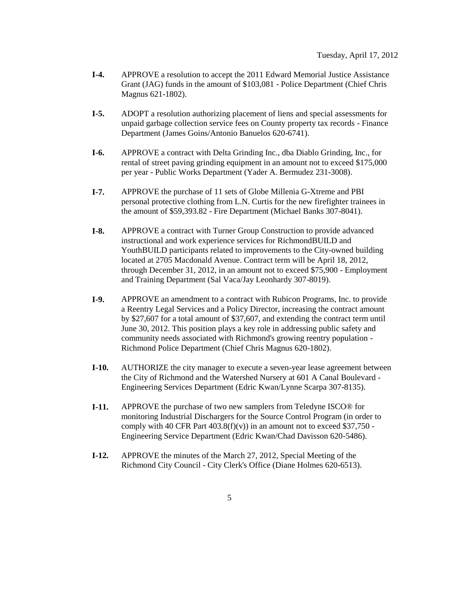- **I-4.** APPROVE a resolution to accept the 2011 Edward Memorial Justice Assistance Grant (JAG) funds in the amount of \$103,081 - Police Department (Chief Chris Magnus 621-1802).
- **I-5.** ADOPT a resolution authorizing placement of liens and special assessments for unpaid garbage collection service fees on County property tax records - Finance Department (James Goins/Antonio Banuelos 620-6741).
- **I-6.** APPROVE a contract with Delta Grinding Inc., dba Diablo Grinding, Inc., for rental of street paving grinding equipment in an amount not to exceed \$175,000 per year - Public Works Department (Yader A. Bermudez 231-3008).
- **I-7.** APPROVE the purchase of 11 sets of Globe Millenia G-Xtreme and PBI personal protective clothing from L.N. Curtis for the new firefighter trainees in the amount of \$59,393.82 - Fire Department (Michael Banks 307-8041).
- **I-8.** APPROVE a contract with Turner Group Construction to provide advanced instructional and work experience services for RichmondBUILD and YouthBUILD participants related to improvements to the City-owned building located at 2705 Macdonald Avenue. Contract term will be April 18, 2012, through December 31, 2012, in an amount not to exceed \$75,900 - Employment and Training Department (Sal Vaca/Jay Leonhardy 307-8019).
- **I-9.** APPROVE an amendment to a contract with Rubicon Programs, Inc. to provide a Reentry Legal Services and a Policy Director, increasing the contract amount by \$27,607 for a total amount of \$37,607, and extending the contract term until June 30, 2012. This position plays a key role in addressing public safety and community needs associated with Richmond's growing reentry population - Richmond Police Department (Chief Chris Magnus 620-1802).
- **I-10.** AUTHORIZE the city manager to execute a seven-year lease agreement between the City of Richmond and the Watershed Nursery at 601 A Canal Boulevard - Engineering Services Department (Edric Kwan/Lynne Scarpa 307-8135).
- **I-11.** APPROVE the purchase of two new samplers from Teledyne ISCO® for monitoring Industrial Dischargers for the Source Control Program (in order to comply with 40 CFR Part  $403.8(f)(v)$  in an amount not to exceed \$37,750 -Engineering Service Department (Edric Kwan/Chad Davisson 620-5486).
- **I-12.** APPROVE the minutes of the March 27, 2012, Special Meeting of the Richmond City Council - City Clerk's Office (Diane Holmes 620-6513).